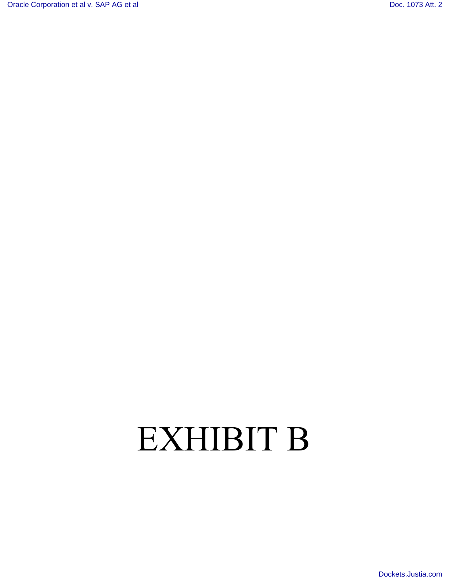[Oracle Corporation et al v. SAP AG et al](http://dockets.justia.com/docket/california/candce/3:2007cv01658/190451/) Corporation et al v. SAP AG et al [Doc. 1073 Att. 2](http://docs.justia.com/cases/federal/district-courts/california/candce/3:2007cv01658/190451/1073/2.html)

[Dockets.Justia.com](http://dockets.justia.com/)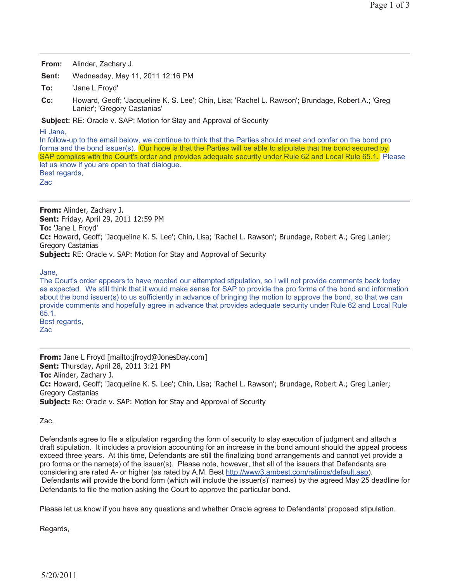| From: | Alinder, Zachary J. |
|-------|---------------------|
|-------|---------------------|

**Sent:** Wednesday, May 11, 2011 12:16 PM

**To:** 'Jane L Froyd'

**Cc:** Howard, Geoff; 'Jacqueline K. S. Lee'; Chin, Lisa; 'Rachel L. Rawson'; Brundage, Robert A.; 'Greg Lanier'; 'Gregory Castanias'

**Subject:** RE: Oracle v. SAP: Motion for Stay and Approval of Security

Hi Jane,

In follow-up to the email below, we continue to think that the Parties should meet and confer on the bond pro forma and the bond issuer(s). (Our hope is that the Parties will be able to stipulate that the bond secured by SAP complies with the Court's order and provides adequate security under Rule 62 and Local Rule 65.1.) Please let us know if you are open to that dialogue. Best regards,

Zac

**From:** Alinder, Zachary J. **Sent:** Friday, April 29, 2011 12:59 PM **To:** 'Jane L Froyd' **Cc:** Howard, Geoff; 'Jacqueline K. S. Lee'; Chin, Lisa; 'Rachel L. Rawson'; Brundage, Robert A.; Greg Lanier; Gregory Castanias **Subject:** RE: Oracle v. SAP: Motion for Stay and Approval of Security

Jane,

The Court's order appears to have mooted our attempted stipulation, so I will not provide comments back today as expected. We still think that it would make sense for SAP to provide the pro forma of the bond and information about the bond issuer(s) to us sufficiently in advance of bringing the motion to approve the bond, so that we can provide comments and hopefully agree in advance that provides adequate security under Rule 62 and Local Rule 65.1. Best regards, Zac

**From:** Jane L Froyd [mailto:jfroyd@JonesDay.com] **Sent:** Thursday, April 28, 2011 3:21 PM **To:** Alinder, Zachary J. **Cc:** Howard, Geoff; 'Jacqueline K. S. Lee'; Chin, Lisa; 'Rachel L. Rawson'; Brundage, Robert A.; Greg Lanier; Gregory Castanias **Subject:** Re: Oracle v. SAP: Motion for Stay and Approval of Security

Zac,

Defendants agree to file a stipulation regarding the form of security to stay execution of judgment and attach a draft stipulation. It includes a provision accounting for an increase in the bond amount should the appeal process exceed three years. At this time, Defendants are still the finalizing bond arrangements and cannot yet provide a pro forma or the name(s) of the issuer(s). Please note, however, that all of the issuers that Defendants are considering are rated A- or higher (as rated by A.M. Best http://www3.ambest.com/ratings/default.asp). Defendants will provide the bond form (which will include the issuer(s)' names) by the agreed May 25 deadline for Defendants to file the motion asking the Court to approve the particular bond.

Please let us know if you have any questions and whether Oracle agrees to Defendants' proposed stipulation.

Regards,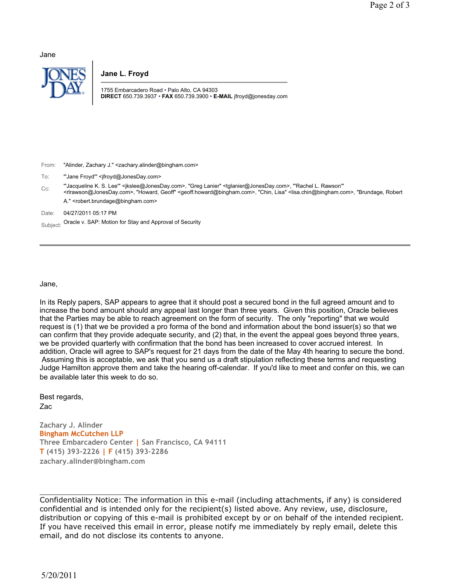Jane



**Jane L. Froyd**

1755 Embarcadero Road • Palo Alto, CA 94303 **DIRECT** 650.739.3937 • **FAX** 650.739.3900 • **E-MAIL** jfroyd@jonesday.com

| From: | "Alinder, Zachary J." <zachary.alinder@bingham.com></zachary.alinder@bingham.com> |
|-------|-----------------------------------------------------------------------------------|
|-------|-----------------------------------------------------------------------------------|

To: "Jane Froyd" <ifroyd@JonesDay.com>

Cc: "'Jacqueline K. S. Lee'" <jkslee@JonesDay.com>, "Greg Lanier" <tglanier@JonesDay.com>, "'Rachel L. Rawson'" <rlrawson@JonesDay.com>, "Howard, Geoff" <geoff.howard@bingham.com>, "Chin, Lisa" <lisa.chin@bingham.com>, "Brundage, Robert A." <robert.brundage@bingham.com>

Date: 04/27/2011 05:17 PM

Subject: Oracle v. SAP: Motion for Stay and Approval of Security

Jane,

In its Reply papers, SAP appears to agree that it should post a secured bond in the full agreed amount and to increase the bond amount should any appeal last longer than three years. Given this position, Oracle believes that the Parties may be able to reach agreement on the form of security. The only "reporting" that we would request is (1) that we be provided a pro forma of the bond and information about the bond issuer(s) so that we can confirm that they provide adequate security, and (2) that, in the event the appeal goes beyond three years, we be provided quarterly with confirmation that the bond has been increased to cover accrued interest. In addition, Oracle will agree to SAP's request for 21 days from the date of the May 4th hearing to secure the bond. Assuming this is acceptable, we ask that you send us a draft stipulation reflecting these terms and requesting Judge Hamilton approve them and take the hearing off-calendar. If you'd like to meet and confer on this, we can be available later this week to do so.

Best regards, Zac

**Zachary J. Alinder Bingham McCutchen LLP Three Embarcadero Center | San Francisco, CA 94111 T (415) 393-2226 | F (415) 393-2286 zachary.alinder@bingham.com**

Confidentiality Notice: The information in this e-mail (including attachments, if any) is considered confidential and is intended only for the recipient(s) listed above. Any review, use, disclosure, distribution or copying of this e-mail is prohibited except by or on behalf of the intended recipient. If you have received this email in error, please notify me immediately by reply email, delete this email, and do not disclose its contents to anyone.